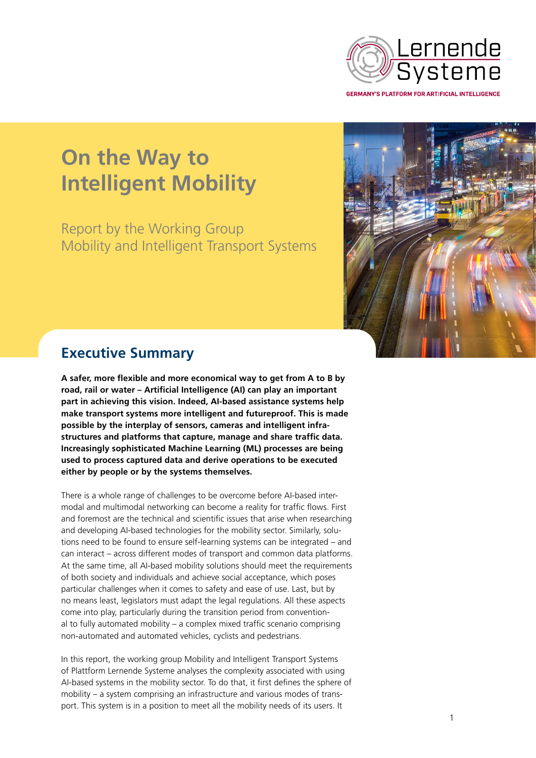

**On the Way to Intelligent Mobility**

Report by the Working Group Mobility and Intelligent Transport Systems



## **Executive Summary**

**A safer, more flexible and more economical way to get from A to B by road, rail or water – Artificial Intelligence (AI) can play an important part in achieving this vision. Indeed, AI-based assistance systems help make transport systems more intelligent and futureproof. This is made possible by the interplay of sensors, cameras and intelligent infrastructures and platforms that capture, manage and share traffic data. Increasingly sophisticated Machine Learning (ML) processes are being used to process captured data and derive operations to be executed either by people or by the systems themselves.** 

There is a whole range of challenges to be overcome before AI-based intermodal and multimodal networking can become a reality for traffic flows. First and foremost are the technical and scientific issues that arise when researching and developing AI-based technologies for the mobility sector. Similarly, solutions need to be found to ensure self-learning systems can be integrated – and can interact – across different modes of transport and common data platforms. At the same time, all AI-based mobility solutions should meet the requirements of both society and individuals and achieve social acceptance, which poses particular challenges when it comes to safety and ease of use. Last, but by no means least, legislators must adapt the legal regulations. All these aspects come into play, particularly during the transition period from conventional to fully automated mobility – a complex mixed traffic scenario comprising non-automated and automated vehicles, cyclists and pedestrians.

In this report, the working group Mobility and Intelligent Transport Systems of Plattform Lernende Systeme analyses the complexity associated with using AI-based systems in the mobility sector. To do that, it first defines the sphere of mobility – a system comprising an infrastructure and various modes of transport. This system is in a position to meet all the mobility needs of its users. It